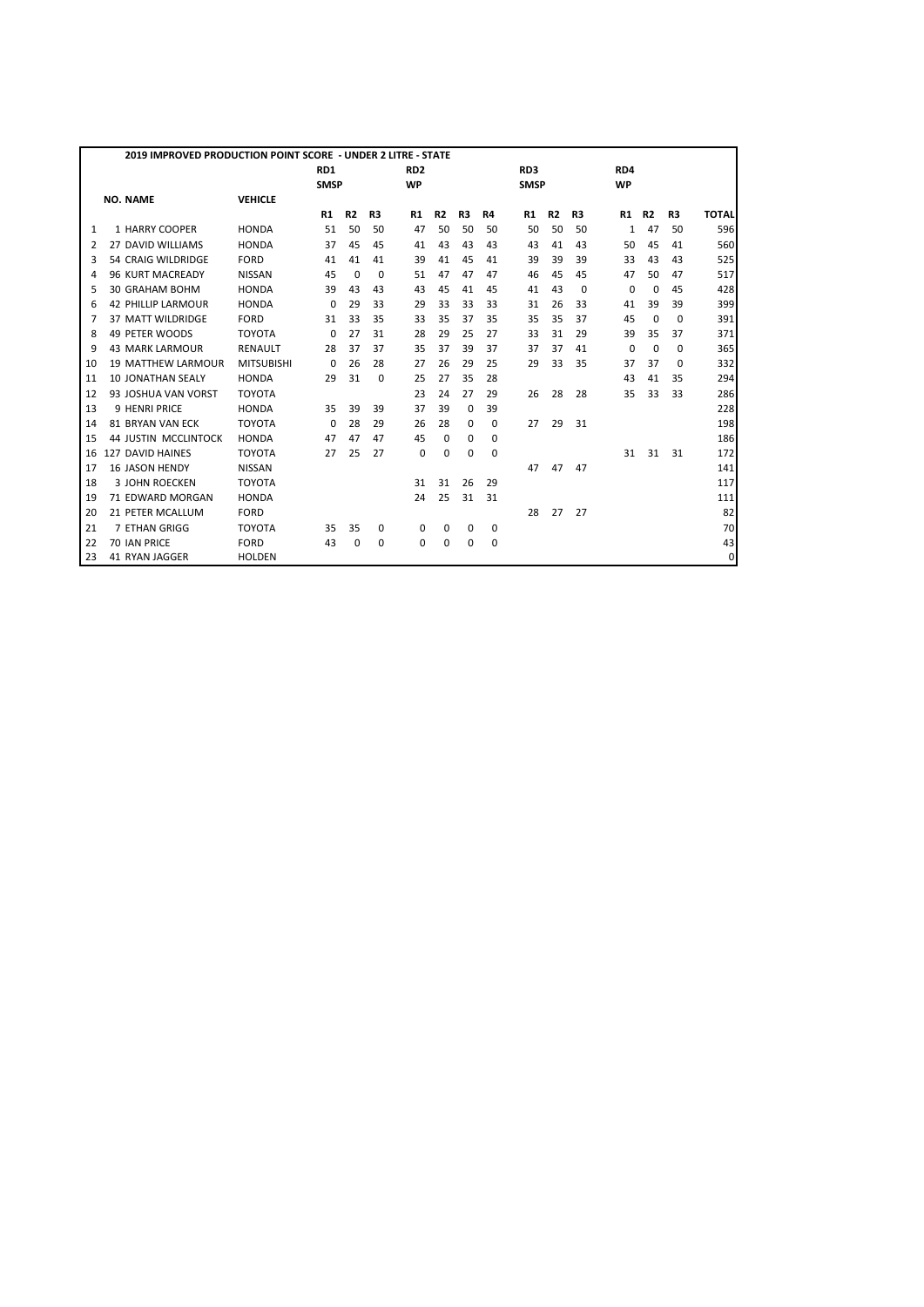|    | 2019 IMPROVED PRODUCTION POINT SCORE - UNDER 2 LITRE - STATE |                   |                 |                |          |                 |                |             |             |                 |                |          |             |                |          |              |
|----|--------------------------------------------------------------|-------------------|-----------------|----------------|----------|-----------------|----------------|-------------|-------------|-----------------|----------------|----------|-------------|----------------|----------|--------------|
|    |                                                              |                   | RD <sub>1</sub> |                |          | RD <sub>2</sub> |                |             |             | RD <sub>3</sub> |                |          | RD4         |                |          |              |
|    |                                                              |                   | <b>SMSP</b>     |                |          | <b>WP</b>       |                |             |             | <b>SMSP</b>     |                |          | <b>WP</b>   |                |          |              |
|    | <b>NO. NAME</b>                                              | <b>VEHICLE</b>    |                 |                |          |                 |                |             |             |                 |                |          |             |                |          |              |
|    |                                                              |                   | R1              | R <sub>2</sub> | R3       | R1              | R <sub>2</sub> | R3          | R4          | R1              | R <sub>2</sub> | R3       | R1          | R <sub>2</sub> | R3       | <b>TOTAL</b> |
| 1  | 1 HARRY COOPER                                               | <b>HONDA</b>      | 51              | 50             | 50       | 47              | 50             | 50          | 50          | 50              | 50             | 50       | 1           | 47             | 50       | 596          |
| 2  | 27 DAVID WILLIAMS                                            | <b>HONDA</b>      | 37              | 45             | 45       | 41              | 43             | 43          | 43          | 43              | 41             | 43       | 50          | 45             | 41       | 560          |
| 3  | 54 CRAIG WILDRIDGE                                           | <b>FORD</b>       | 41              | 41             | 41       | 39              | 41             | 45          | 41          | 39              | 39             | 39       | 33          | 43             | 43       | 525          |
| 4  | 96 KURT MACREADY                                             | <b>NISSAN</b>     | 45              | 0              | $\Omega$ | 51              | 47             | 47          | 47          | 46              | 45             | 45       | 47          | 50             | 47       | 517          |
| 5  | <b>30 GRAHAM BOHM</b>                                        | <b>HONDA</b>      | 39              | 43             | 43       | 43              | 45             | 41          | 45          | 41              | 43             | $\Omega$ | $\Omega$    | $\Omega$       | 45       | 428          |
| 6  | <b>42 PHILLIP LARMOUR</b>                                    | <b>HONDA</b>      | $\Omega$        | 29             | 33       | 29              | 33             | 33          | 33          | 31              | 26             | 33       | 41          | 39             | 39       | 399          |
| 7  | 37 MATT WILDRIDGE                                            | <b>FORD</b>       | 31              | 33             | 35       | 33              | 35             | 37          | 35          | 35              | 35             | 37       | 45          | $\Omega$       | $\Omega$ | 391          |
| 8  | 49 PETER WOODS                                               | <b>TOYOTA</b>     | 0               | 27             | 31       | 28              | 29             | 25          | 27          | 33              | 31             | 29       | 39          | 35             | 37       | 371          |
| 9  | <b>43 MARK LARMOUR</b>                                       | <b>RENAULT</b>    | 28              | 37             | 37       | 35              | 37             | 39          | 37          | 37              | 37             | 41       | $\mathbf 0$ | $\Omega$       | 0        | 365          |
| 10 | <b>19 MATTHEW LARMOUR</b>                                    | <b>MITSUBISHI</b> | 0               | 26             | 28       | 27              | 26             | 29          | 25          | 29              | 33             | 35       | 37          | 37             | 0        | 332          |
| 11 | <b>10 JONATHAN SEALY</b>                                     | <b>HONDA</b>      | 29              | 31             | $\Omega$ | 25              | 27             | 35          | 28          |                 |                |          | 43          | 41             | 35       | 294          |
| 12 | 93 JOSHUA VAN VORST                                          | <b>TOYOTA</b>     |                 |                |          | 23              | 24             | 27          | 29          | 26              | 28             | 28       | 35          | 33             | 33       | 286          |
| 13 | <b>9 HENRI PRICE</b>                                         | <b>HONDA</b>      | 35              | 39             | 39       | 37              | 39             | $\Omega$    | 39          |                 |                |          |             |                |          | 228          |
| 14 | <b>81 BRYAN VAN ECK</b>                                      | <b>TOYOTA</b>     | $\Omega$        | 28             | 29       | 26              | 28             | $\Omega$    | 0           | 27              | 29             | 31       |             |                |          | 198          |
| 15 | <b>44 JUSTIN MCCLINTOCK</b>                                  | <b>HONDA</b>      | 47              | 47             | 47       | 45              | $\Omega$       | 0           | $\Omega$    |                 |                |          |             |                |          | 186          |
| 16 | 127 DAVID HAINES                                             | <b>TOYOTA</b>     | 27              | 25             | 27       | 0               | 0              | $\mathbf 0$ | $\mathbf 0$ |                 |                |          | 31          | 31             | 31       | 172          |
| 17 | <b>16 JASON HENDY</b>                                        | <b>NISSAN</b>     |                 |                |          |                 |                |             |             | 47              | 47             | 47       |             |                |          | 141          |
| 18 | <b>3 JOHN ROECKEN</b>                                        | <b>TOYOTA</b>     |                 |                |          | 31              | 31             | 26          | 29          |                 |                |          |             |                |          | 117          |
| 19 | 71 EDWARD MORGAN                                             | <b>HONDA</b>      |                 |                |          | 24              | 25             | 31          | 31          |                 |                |          |             |                |          | 111          |
| 20 | 21 PETER MCALLUM                                             | <b>FORD</b>       |                 |                |          |                 |                |             |             | 28              | 27             | 27       |             |                |          | 82           |
| 21 | 7 ETHAN GRIGG                                                | <b>TOYOTA</b>     | 35              | 35             | 0        | 0               | 0              | 0           | 0           |                 |                |          |             |                |          | 70           |
| 22 | 70 IAN PRICE                                                 | <b>FORD</b>       | 43              | 0              | 0        | 0               | 0              | 0           | $\mathbf 0$ |                 |                |          |             |                |          | 43           |
| 23 | 41 RYAN JAGGER                                               | <b>HOLDEN</b>     |                 |                |          |                 |                |             |             |                 |                |          |             |                |          | 0            |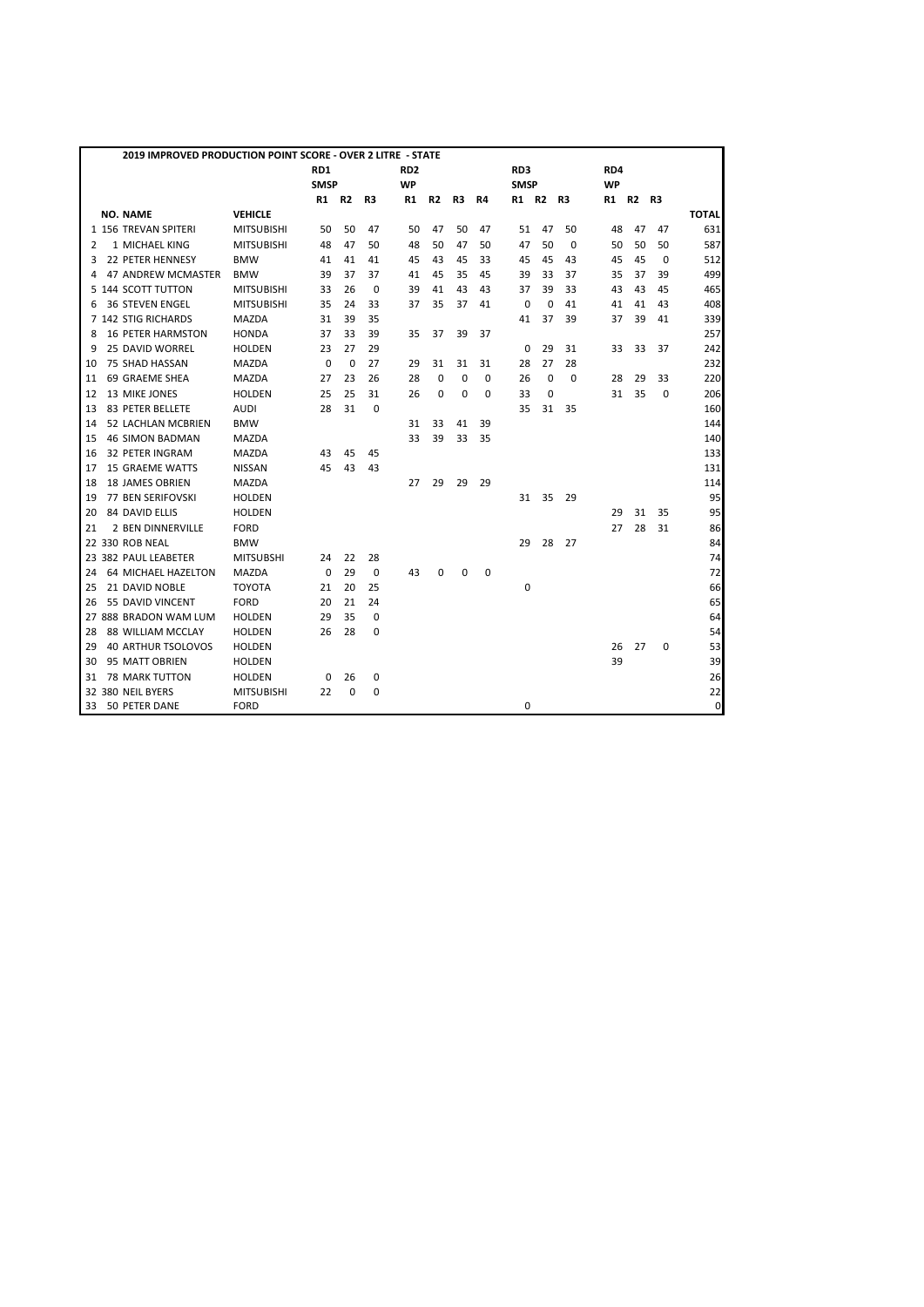|    | 2019 IMPROVED PRODUCTION POINT SCORE - OVER 2 LITRE - STATE |                   |             |                |             |                 |                |             |    |             |             |          |           |    |      |              |
|----|-------------------------------------------------------------|-------------------|-------------|----------------|-------------|-----------------|----------------|-------------|----|-------------|-------------|----------|-----------|----|------|--------------|
|    |                                                             |                   | RD1         |                |             | RD <sub>2</sub> |                |             |    | RD3         |             |          | RD4       |    |      |              |
|    |                                                             |                   | <b>SMSP</b> |                |             | <b>WP</b>       |                |             |    | <b>SMSP</b> |             |          | <b>WP</b> |    |      |              |
|    |                                                             |                   | R1          | R <sub>2</sub> | R3          | R1              | R <sub>2</sub> | R3          | R4 | R1 R2       |             | R3       | R1        | R2 | - R3 |              |
|    | <b>NO. NAME</b>                                             | <b>VEHICLE</b>    |             |                |             |                 |                |             |    |             |             |          |           |    |      | <b>TOTAL</b> |
|    | 1 156 TREVAN SPITERI                                        | <b>MITSUBISHI</b> | 50          | 50             | 47          | 50              | 47             | 50          | 47 | 51          | 47          | 50       | 48        | 47 | 47   | 631          |
| 2  | 1 MICHAEL KING                                              | <b>MITSUBISHI</b> | 48          | 47             | 50          | 48              | 50             | 47          | 50 | 47          | 50          | $\Omega$ | 50        | 50 | 50   | 587          |
| 3  | 22 PETER HENNESY                                            | <b>BMW</b>        | 41          | 41             | 41          | 45              | 43             | 45          | 33 | 45          | 45          | 43       | 45        | 45 | 0    | 512          |
| 4  | 47 ANDREW MCMASTER                                          | <b>BMW</b>        | 39          | 37             | 37          | 41              | 45             | 35          | 45 | 39          | 33          | 37       | 35        | 37 | 39   | 499          |
|    | 5 144 SCOTT TUTTON                                          | <b>MITSUBISHI</b> | 33          | 26             | $\mathbf 0$ | 39              | 41             | 43          | 43 | 37          | 39          | 33       | 43        | 43 | 45   | 465          |
| 6  | <b>36 STEVEN ENGEL</b>                                      | <b>MITSUBISHI</b> | 35          | 24             | 33          | 37              | 35             | 37          | 41 | $\Omega$    | 0           | 41       | 41        | 41 | 43   | 408          |
|    | 7 142 STIG RICHARDS                                         | <b>MAZDA</b>      | 31          | 39             | 35          |                 |                |             |    | 41          | 37          | 39       | 37        | 39 | 41   | 339          |
| 8  | <b>16 PETER HARMSTON</b>                                    | <b>HONDA</b>      | 37          | 33             | 39          | 35              | 37             | 39          | 37 |             |             |          |           |    |      | 257          |
| 9  | 25 DAVID WORREL                                             | <b>HOLDEN</b>     | 23          | 27             | 29          |                 |                |             |    | $\mathbf 0$ | 29          | 31       | 33        | 33 | 37   | 242          |
| 10 | 75 SHAD HASSAN                                              | <b>MAZDA</b>      | $\Omega$    | $\Omega$       | 27          | 29              | 31             | 31          | 31 | 28          | 27          | 28       |           |    |      | 232          |
| 11 | 69 GRAEME SHEA                                              | <b>MAZDA</b>      | 27          | 23             | 26          | 28              | $\mathbf 0$    | $\mathbf 0$ | 0  | 26          | $\mathbf 0$ | 0        | 28        | 29 | 33   | 220          |
| 12 | 13 MIKE JONES                                               | <b>HOLDEN</b>     | 25          | 25             | 31          | 26              | 0              | $\mathbf 0$ | 0  | 33          | 0           |          | 31        | 35 | 0    | 206          |
| 13 | 83 PETER BELLETE                                            | <b>AUDI</b>       | 28          | 31             | $\mathbf 0$ |                 |                |             |    | 35          | 31          | 35       |           |    |      | 160          |
| 14 | 52 LACHLAN MCBRIEN                                          | <b>BMW</b>        |             |                |             | 31              | 33             | 41          | 39 |             |             |          |           |    |      | 144          |
| 15 | <b>46 SIMON BADMAN</b>                                      | <b>MAZDA</b>      |             |                |             | 33              | 39             | 33          | 35 |             |             |          |           |    |      | 140          |
| 16 | 32 PETER INGRAM                                             | MAZDA             | 43          | 45             | 45          |                 |                |             |    |             |             |          |           |    |      | 133          |
| 17 | <b>15 GRAEME WATTS</b>                                      | <b>NISSAN</b>     | 45          | 43             | 43          |                 |                |             |    |             |             |          |           |    |      | 131          |
| 18 | <b>18 JAMES OBRIEN</b>                                      | MAZDA             |             |                |             | 27              | 29             | 29          | 29 |             |             |          |           |    |      | 114          |
| 19 | <b>77 BEN SERIFOVSKI</b>                                    | <b>HOLDEN</b>     |             |                |             |                 |                |             |    | 31          | 35          | 29       |           |    |      | 95           |
| 20 | 84 DAVID ELLIS                                              | <b>HOLDEN</b>     |             |                |             |                 |                |             |    |             |             |          | 29        | 31 | 35   | 95           |
| 21 | 2 BEN DINNERVILLE                                           | <b>FORD</b>       |             |                |             |                 |                |             |    |             |             |          | 27        | 28 | 31   | 86           |
|    | 22 330 ROB NEAL                                             | <b>BMW</b>        |             |                |             |                 |                |             |    | 29          | 28          | 27       |           |    |      | 84           |
|    | 23 382 PAUL LEABETER                                        | <b>MITSUBSHI</b>  | 24          | 22             | 28          |                 |                |             |    |             |             |          |           |    |      | 74           |
| 24 | 64 MICHAEL HAZELTON                                         | MAZDA             | 0           | 29             | 0           | 43              | 0              | $\mathbf 0$ | 0  |             |             |          |           |    |      | 72           |
| 25 | 21 DAVID NOBLE                                              | <b>TOYOTA</b>     | 21          | 20             | 25          |                 |                |             |    | 0           |             |          |           |    |      | 66           |
| 26 | 55 DAVID VINCENT                                            | <b>FORD</b>       | 20          | 21             | 24          |                 |                |             |    |             |             |          |           |    |      | 65           |
|    | 27 888 BRADON WAM LUM                                       | <b>HOLDEN</b>     | 29          | 35             | $\mathbf 0$ |                 |                |             |    |             |             |          |           |    |      | 64           |
| 28 | 88 WILLIAM MCCLAY                                           | <b>HOLDEN</b>     | 26          | 28             | 0           |                 |                |             |    |             |             |          |           |    |      | 54           |
| 29 | 40 ARTHUR TSOLOVOS                                          | <b>HOLDEN</b>     |             |                |             |                 |                |             |    |             |             |          | 26        | 27 | 0    | 53           |
| 30 | 95 MATT OBRIEN                                              | <b>HOLDEN</b>     |             |                |             |                 |                |             |    |             |             |          | 39        |    |      | 39           |
| 31 | <b>78 MARK TUTTON</b>                                       | <b>HOLDEN</b>     | 0           | 26             | 0           |                 |                |             |    |             |             |          |           |    |      | 26           |
|    | 32 380 NEIL BYERS                                           | <b>MITSUBISHI</b> | 22          | 0              | 0           |                 |                |             |    |             |             |          |           |    |      | 22           |
| 33 | 50 PETER DANE                                               | <b>FORD</b>       |             |                |             |                 |                |             |    | 0           |             |          |           |    |      | $\mathbf 0$  |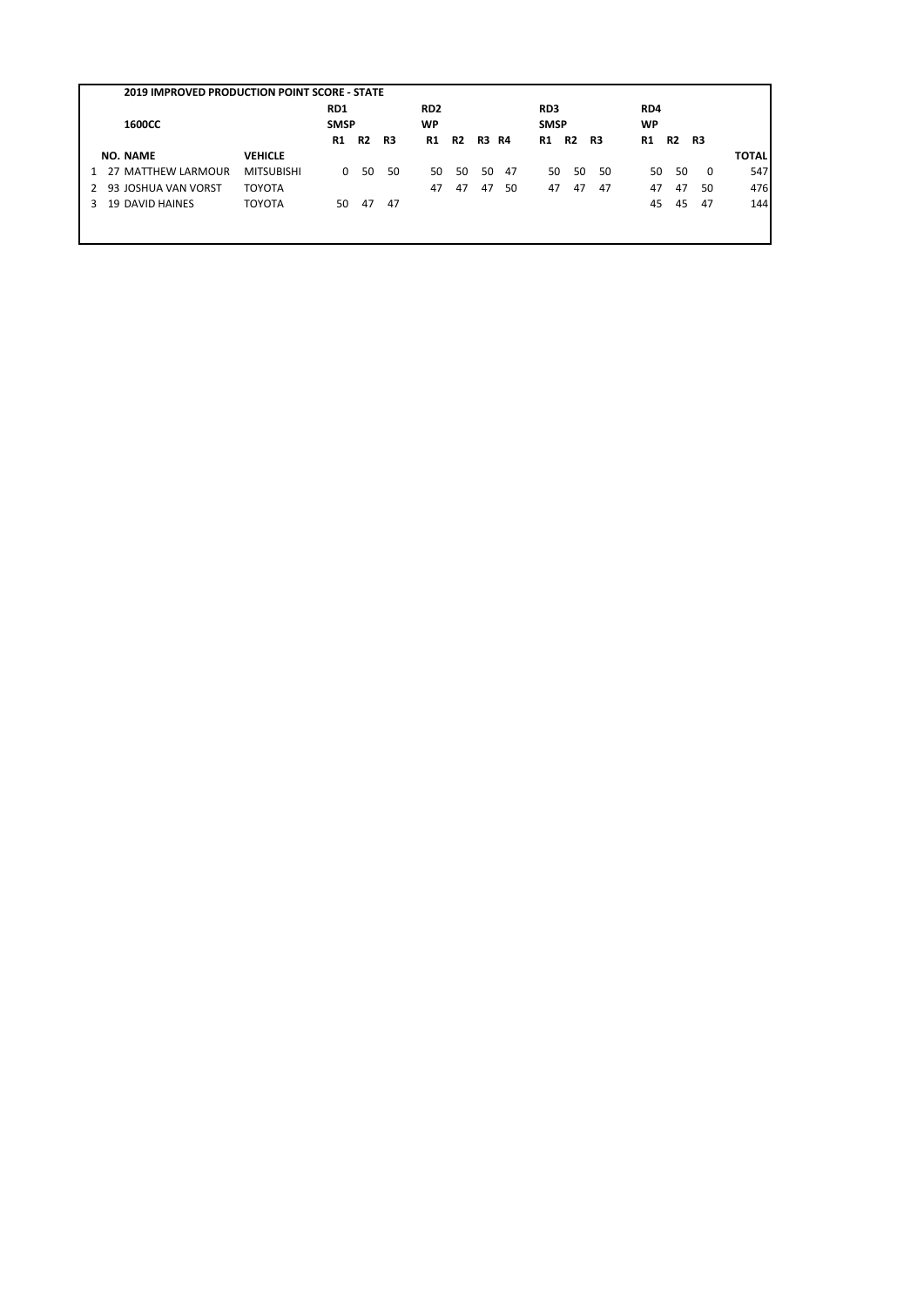|                                                         | RD1         |           |    | RD <sub>2</sub> |    |              |    | RD3         |           |    | RD4       |           |    |              |
|---------------------------------------------------------|-------------|-----------|----|-----------------|----|--------------|----|-------------|-----------|----|-----------|-----------|----|--------------|
| 1600CC                                                  | <b>SMSP</b> |           |    | <b>WP</b>       |    |              |    | <b>SMSP</b> |           |    | <b>WP</b> |           |    |              |
|                                                         | R1          | <b>R2</b> | R3 | R1              | R2 | <b>R3 R4</b> |    | R1          | <b>R2</b> | R3 | R1        | <b>R2</b> | R3 |              |
| <b>NO. NAME</b><br><b>VEHICLE</b>                       |             |           |    |                 |    |              |    |             |           |    |           |           |    | <b>TOTAL</b> |
| <b>MITSUBISHI</b><br>27 MATTHEW LARMOUR<br>$\mathbf{1}$ | $\Omega$    | 50        | 50 | 50              | 50 | 50           | 47 | 50          | 50        | 50 | 50        | 50        | 0  | 547          |
| <b>TOYOTA</b><br>93 JOSHUA VAN VORST                    |             |           |    | 47              | 47 | 47           | 50 | 47          | 47        | 47 | 47        | 47        | 50 | 476          |
| <b>19 DAVID HAINES</b><br><b>TOYOTA</b>                 | 50          | 47        | 47 |                 |    |              |    |             |           |    | 45        | 45        | 47 | 144          |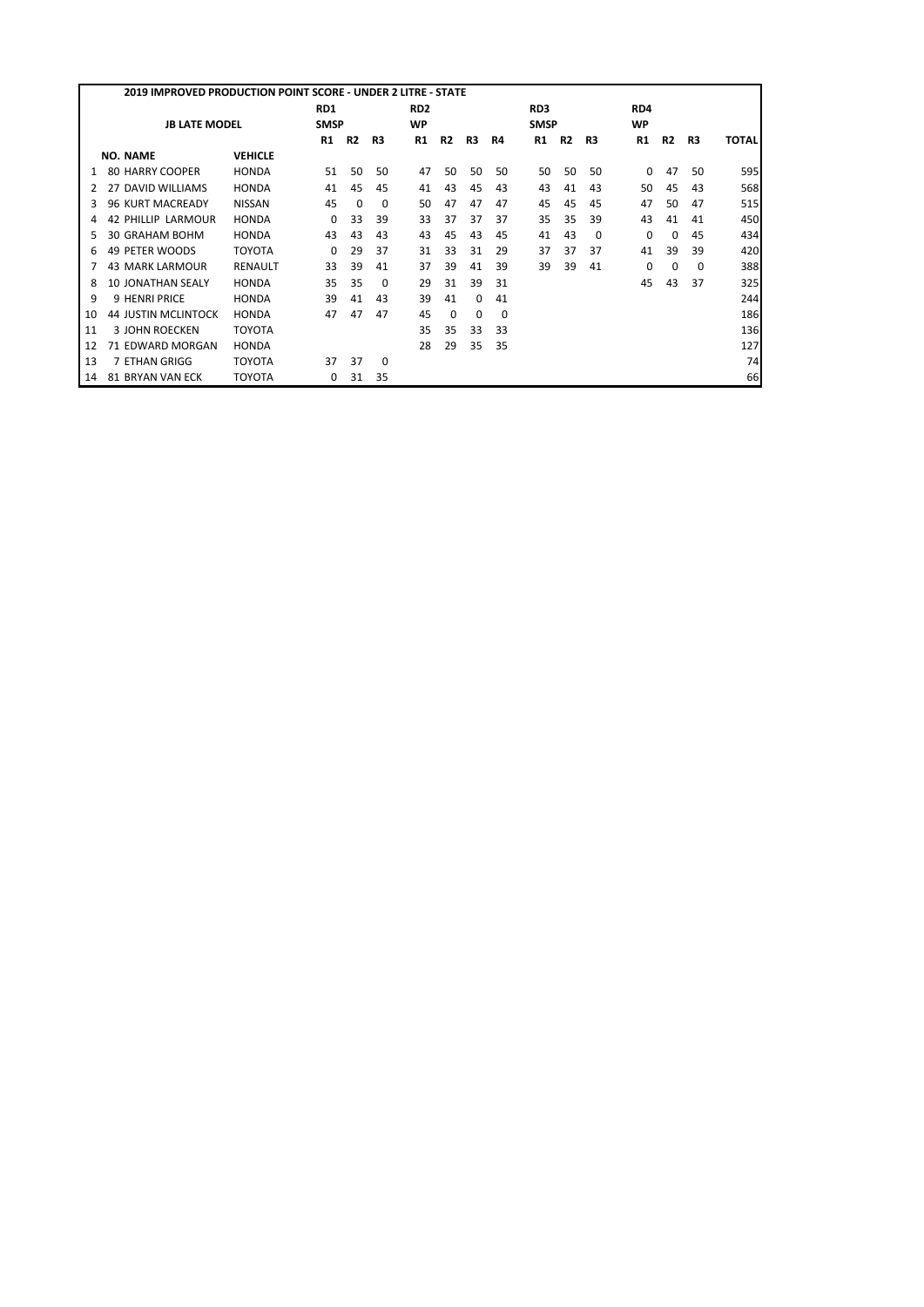|    | 2019 IMPROVED PRODUCTION POINT SCORE - UNDER 2 LITRE - STATE |                |             |           |    |                 |           |    |          |                 |           |          |           |           |          |              |
|----|--------------------------------------------------------------|----------------|-------------|-----------|----|-----------------|-----------|----|----------|-----------------|-----------|----------|-----------|-----------|----------|--------------|
|    |                                                              |                | RD1         |           |    | RD <sub>2</sub> |           |    |          | RD <sub>3</sub> |           |          | RD4       |           |          |              |
|    | <b>JB LATE MODEL</b>                                         |                | <b>SMSP</b> |           |    | <b>WP</b>       |           |    |          | <b>SMSP</b>     |           |          | <b>WP</b> |           |          |              |
|    |                                                              |                | R1          | <b>R2</b> | R3 | R1              | <b>R2</b> | R3 | R4       | <b>R1</b>       | <b>R2</b> | R3       | R1        | <b>R2</b> | R3       | <b>TOTAL</b> |
|    | <b>NO. NAME</b>                                              | <b>VEHICLE</b> |             |           |    |                 |           |    |          |                 |           |          |           |           |          |              |
|    | <b>80 HARRY COOPER</b>                                       | <b>HONDA</b>   | 51          | 50        | 50 | 47              | 50        | 50 | 50       | 50              | 50        | 50       | 0         | 47        | 50       | 595          |
|    | 27 DAVID WILLIAMS                                            | <b>HONDA</b>   | 41          | 45        | 45 | 41              | 43        | 45 | 43       | 43              | 41        | 43       | 50        | 45        | 43       | 568          |
| 3. | <b>96 KURT MACREADY</b>                                      | <b>NISSAN</b>  | 45          | $\Omega$  | 0  | 50              | 47        | 47 | 47       | 45              | 45        | 45       | 47        | 50        | 47       | 515          |
|    | <b>42 PHILLIP LARMOUR</b>                                    | <b>HONDA</b>   | 0           | 33        | 39 | 33              | 37        | 37 | 37       | 35              | 35        | 39       | 43        | 41        | 41       | 450          |
| 5. | 30 GRAHAM BOHM                                               | <b>HONDA</b>   | 43          | 43        | 43 | 43              | 45        | 43 | 45       | 41              | 43        | $\Omega$ | 0         | 0         | 45       | 434          |
| 6  | 49 PETER WOODS                                               | <b>TOYOTA</b>  | 0           | 29        | 37 | 31              | 33        | 31 | 29       | 37              | 37        | 37       | 41        | 39        | 39       | 420          |
|    | <b>43 MARK LARMOUR</b>                                       | RENAULT        | 33          | 39        | 41 | 37              | 39        | 41 | 39       | 39              | 39        | 41       | 0         | O         | $\Omega$ | 388          |
| 8  | <b>10 JONATHAN SEALY</b>                                     | <b>HONDA</b>   | 35          | 35        | 0  | 29              | 31        | 39 | 31       |                 |           |          | 45        | 43        | 37       | 325          |
| 9  | <b>9 HENRI PRICE</b>                                         | <b>HONDA</b>   | 39          | 41        | 43 | 39              | 41        | 0  | 41       |                 |           |          |           |           |          | 244          |
| 10 | <b>44 JUSTIN MCLINTOCK</b>                                   | <b>HONDA</b>   | 47          | 47        | 47 | 45              | 0         | 0  | $\Omega$ |                 |           |          |           |           |          | 186          |
| 11 | <b>3 JOHN ROECKEN</b>                                        | <b>TOYOTA</b>  |             |           |    | 35              | 35        | 33 | 33       |                 |           |          |           |           |          | 136          |
| 12 | 71 EDWARD MORGAN                                             | <b>HONDA</b>   |             |           |    | 28              | 29        | 35 | 35       |                 |           |          |           |           |          | 127          |
| 13 | 7 ETHAN GRIGG                                                | <b>TOYOTA</b>  | 37          | 37        | 0  |                 |           |    |          |                 |           |          |           |           |          | 74           |
| 14 | 81 BRYAN VAN ECK                                             | TOYOTA         | 0           | 31        | 35 |                 |           |    |          |                 |           |          |           |           |          | 66           |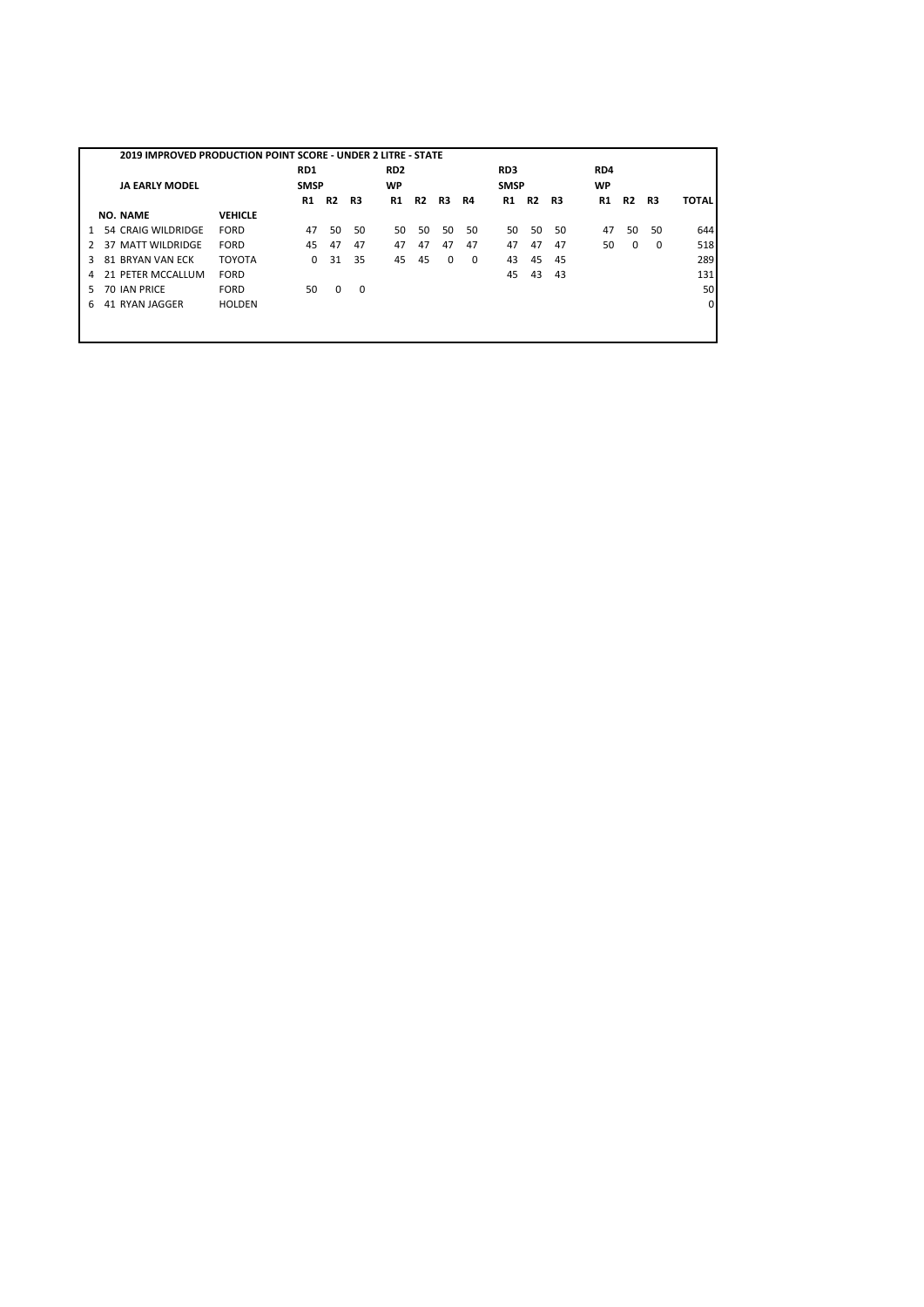|               | 2019 IMPROVED PRODUCTION POINT SCORE - UNDER 2 LITRE - STATE |                |             |    |    |                 |           |          |          |             |           |    |     |                |          |              |
|---------------|--------------------------------------------------------------|----------------|-------------|----|----|-----------------|-----------|----------|----------|-------------|-----------|----|-----|----------------|----------|--------------|
|               |                                                              |                | RD1         |    |    | RD <sub>2</sub> |           |          |          | RD3         |           |    | RD4 |                |          |              |
|               | <b>JA EARLY MODEL</b>                                        |                | <b>SMSP</b> |    |    | WP              |           |          |          | <b>SMSP</b> |           |    | WP  |                |          |              |
|               |                                                              |                | R1          | R2 | R3 | R1              | <b>R2</b> | R3       | R4       | R1          | <b>R2</b> | R3 | R1  | R <sub>2</sub> | R3       | <b>TOTAL</b> |
|               | <b>NO. NAME</b>                                              | <b>VEHICLE</b> |             |    |    |                 |           |          |          |             |           |    |     |                |          |              |
| 1             | 54 CRAIG WILDRIDGE                                           | FORD           | 47          | 50 | 50 | 50              | 50        | 50       | 50       | 50          | 50        | 50 | 47  | 50             | 50       | 644          |
| $\mathcal{P}$ | 37 MATT WILDRIDGE                                            | FORD           | 45          | 47 | 47 | 47              | 47        | 47       | 47       | 47          | 47        | 47 | 50  | $\Omega$       | $\Omega$ | 518          |
| 3             | 81 BRYAN VAN ECK                                             | <b>TOYOTA</b>  | $\Omega$    | 31 | 35 | 45              | 45        | $\Omega$ | $\Omega$ | 43          | 45        | 45 |     |                |          | 289          |
| 4             | 21 PETER MCCALLUM                                            | FORD           |             |    |    |                 |           |          |          | 45          | 43        | 43 |     |                |          | 131          |
| 5.            | 70 IAN PRICE                                                 | <b>FORD</b>    | 50          | 0  | 0  |                 |           |          |          |             |           |    |     |                |          | 50           |
| 6             | 41 RYAN JAGGER                                               | <b>HOLDEN</b>  |             |    |    |                 |           |          |          |             |           |    |     |                |          | $\Omega$     |
|               |                                                              |                |             |    |    |                 |           |          |          |             |           |    |     |                |          |              |
|               |                                                              |                |             |    |    |                 |           |          |          |             |           |    |     |                |          |              |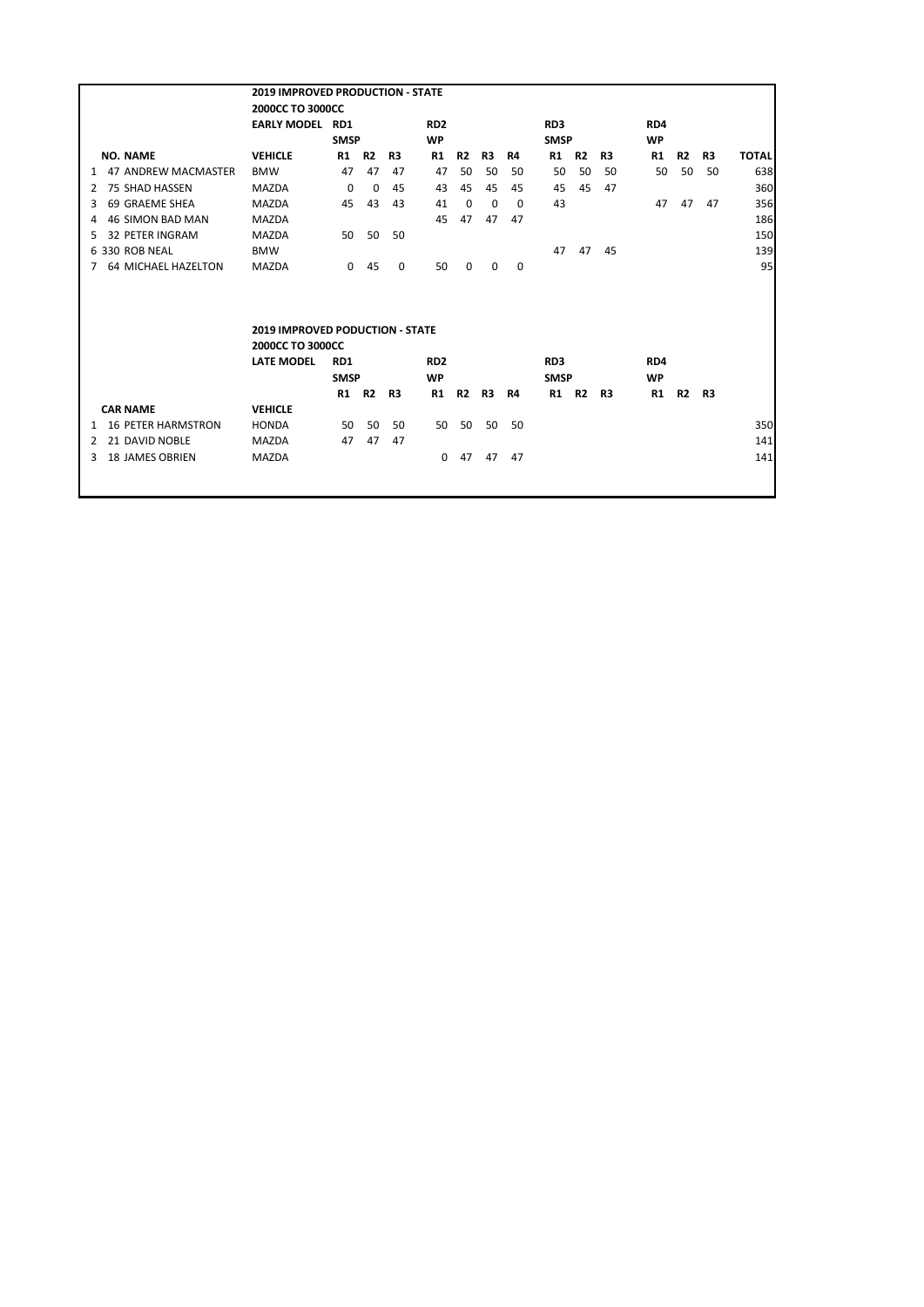|                                 | <b>2019 IMPROVED PRODUCTION - STATE</b>                                         |              |           |    |                 |           |    |     |                 |           |    |           |           |    |              |
|---------------------------------|---------------------------------------------------------------------------------|--------------|-----------|----|-----------------|-----------|----|-----|-----------------|-----------|----|-----------|-----------|----|--------------|
|                                 | 2000CC TO 3000CC                                                                |              |           |    |                 |           |    |     |                 |           |    |           |           |    |              |
|                                 | <b>EARLY MODEL RD1</b>                                                          |              |           |    | RD <sub>2</sub> |           |    |     | RD <sub>3</sub> |           |    | RD4       |           |    |              |
|                                 |                                                                                 | <b>SMSP</b>  |           |    | <b>WP</b>       |           |    |     | <b>SMSP</b>     |           |    | <b>WP</b> |           |    |              |
| <b>NO. NAME</b>                 | <b>VEHICLE</b>                                                                  | R1 R2        |           | R3 | R1              | R2        | R3 | R4  | R1 R2           |           | R3 | R1        | R2        | R3 | <b>TOTAL</b> |
| 1 47 ANDREW MACMASTER           | <b>BMW</b>                                                                      | 47           | 47        | 47 | 47              | 50        | 50 | 50  | 50              | 50        | 50 | 50        | 50        | 50 | 638          |
| 75 SHAD HASSEN<br>2             | <b>MAZDA</b>                                                                    | $\Omega$     | 0         | 45 | 43              | 45        | 45 | 45  | 45              | 45        | 47 |           |           |    | 360          |
| 69 GRAEME SHEA<br>3             | <b>MAZDA</b>                                                                    | 45           | 43        | 43 | 41              | 0         | 0  | 0   | 43              |           |    | 47        | 47        | 47 | 356          |
| <b>46 SIMON BAD MAN</b><br>4    | <b>MAZDA</b>                                                                    |              |           |    | 45              | 47        | 47 | 47  |                 |           |    |           |           |    | 186          |
| <b>32 PETER INGRAM</b><br>5.    | <b>MAZDA</b>                                                                    | 50           | 50        | 50 |                 |           |    |     |                 |           |    |           |           |    | 150          |
| 6 330 ROB NEAL                  | <b>BMW</b>                                                                      |              |           |    |                 |           |    |     | 47              | 47        | 45 |           |           |    | 139          |
| 64 MICHAEL HAZELTON<br>7        | <b>MAZDA</b>                                                                    | $\mathbf{0}$ | 45        | 0  | 50              | 0         | 0  | 0   |                 |           |    |           |           |    | 95           |
|                                 | <b>2019 IMPROVED PODUCTION - STATE</b><br>2000CC TO 3000CC<br><b>LATE MODEL</b> | RD1          |           |    | RD <sub>2</sub> |           |    |     | RD <sub>3</sub> |           |    | RD4       |           |    |              |
|                                 |                                                                                 | <b>SMSP</b>  |           |    | <b>WP</b>       |           |    |     | <b>SMSP</b>     |           |    | <b>WP</b> |           |    |              |
|                                 |                                                                                 | R1           | <b>R2</b> | R3 | <b>R1</b>       | <b>R2</b> | R3 | R4  | R1              | <b>R2</b> | R3 | <b>R1</b> | <b>R2</b> | R3 |              |
| <b>CAR NAME</b>                 | <b>VEHICLE</b>                                                                  |              |           |    |                 |           |    |     |                 |           |    |           |           |    |              |
| <b>16 PETER HARMSTRON</b>       | <b>HONDA</b>                                                                    | 50           | 50        | 50 | 50              | 50        | 50 | -50 |                 |           |    |           |           |    | 350          |
| 21 DAVID NOBLE<br>$\mathcal{P}$ | <b>MAZDA</b>                                                                    | 47           | 47        | 47 |                 |           |    |     |                 |           |    |           |           |    | 141          |
| <b>18 JAMES OBRIEN</b><br>3     | <b>MAZDA</b>                                                                    |              |           |    | $\Omega$        | 47        | 47 | 47  |                 |           |    |           |           |    | 141          |
|                                 |                                                                                 |              |           |    |                 |           |    |     |                 |           |    |           |           |    |              |